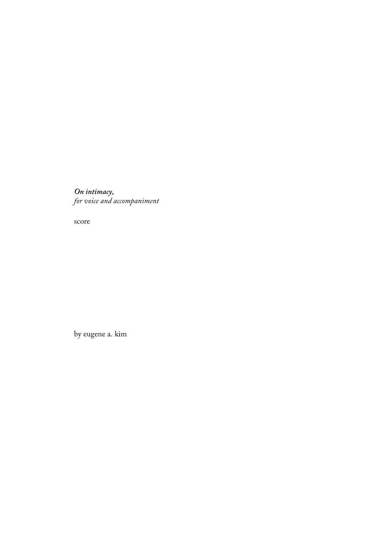*On intimacy, for voice and accompaniment*

score

by eugene a. kim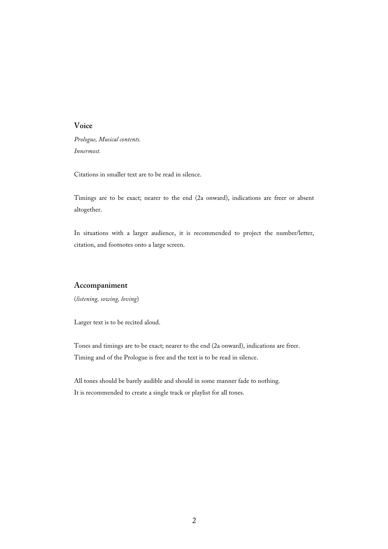## **Voice**

*Prologue, Musical contents. Innermost.*

Citations in smaller text are to be read in silence.

Timings are to be exact; nearer to the end (2a onward), indications are freer or absent altogether.

In situations with a larger audience, it is recommended to project the number/letter, citation, and footnotes onto a large screen.

## **Accompaniment**

(*listening, sowing, loving*)

Larger text is to be recited aloud.

Tones and timings are to be exact; nearer to the end (2a onward), indications are freer. Timing and of the Prologue is free and the text is to be read in silence.

All tones should be barely audible and should in some manner fade to nothing. It is recommended to create a single track or playlist for all tones.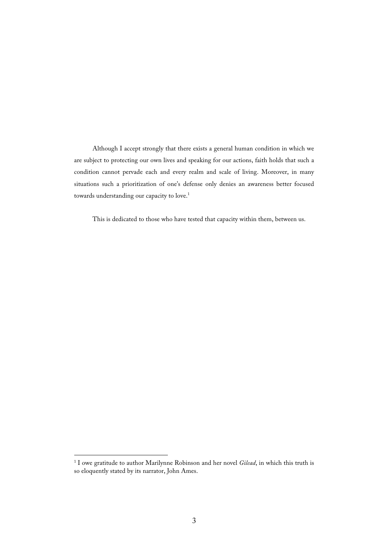Although I accept strongly that there exists a general human condition in which we are subject to protecting our own lives and speaking for our actions, faith holds that such a condition cannot pervade each and every realm and scale of living. Moreover, in many situations such a prioritization of one's defense only denies an awareness better focused towards understanding our capacity to love. 1

This is dedicated to those who have tested that capacity within them, between us.

 <sup>1</sup> I owe gratitude to author Marilynne Robinson and her novel *Gilead*, in which this truth is so eloquently stated by its narrator, John Ames.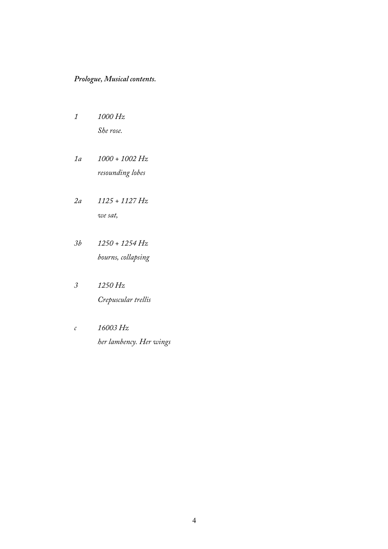# *Prologue, Musical contents.*

- *1 1000 Hz She rose.*
- *1a 1000 + 1002 Hz resounding lobes*
- *2a 1125 + 1127 Hz we sat,*
- *3b 1250 + 1254 Hz bourns, collapsing*
- *3 1250 Hz Crepuscular trellis*
- *c 16003 Hz her lambency. Her wings*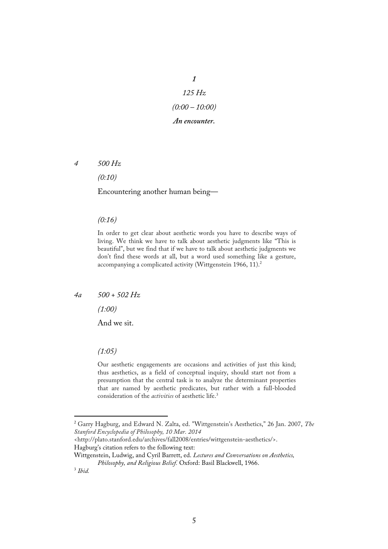*1 125 Hz (0:00 – 10:00) An encounter.*

*4 500 Hz*

*(0:10)*

Encountering another human being—

#### *(0:16)*

In order to get clear about aesthetic words you have to describe ways of living. We think we have to talk about aesthetic judgments like "This is beautiful", but we find that if we have to talk about aesthetic judgments we don't find these words at all, but a word used something like a gesture, accompanying a complicated activity (Wittgenstein 1966, 11).<sup>2</sup>

### *4a 500 + 502 Hz*

*(1:00)*

And we sit.

### *(1:05)*

Our aesthetic engagements are occasions and activities of just this kind; thus aesthetics, as a field of conceptual inquiry, should start not from a presumption that the central task is to analyze the determinant properties that are named by aesthetic predicates, but rather with a full-blooded consideration of the *activities* of aesthetic life. 3

 <sup>2</sup> Garry Hagburg, and Edward N. Zalta, ed. "Wittgenstein's Aesthetics," 26 Jan. 2007, *The Stanford Encyclopedia of Philosophy, 10 Mar. 2014*

<sup>&</sup>lt;http://plato.stanford.edu/archives/fall2008/entries/wittgenstein-aesthetics/>. Hagburg's citation refers to the following text:

Wittgenstein, Ludwig, and Cyril Barrett, ed. *Lectures and Conversations on Aesthetics, Philosophy, and Religious Belief.* Oxford: Basil Blackwell, 1966. 3 *Ibid.*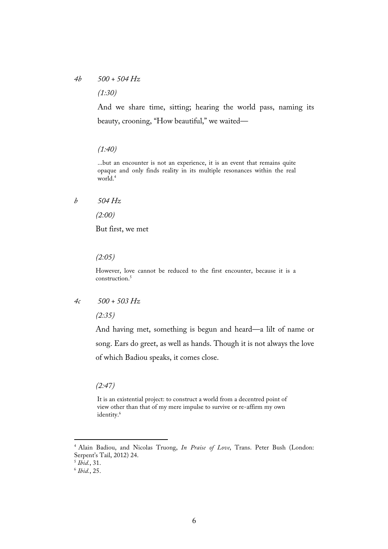## *4b 500 + 504 Hz*

*(1:30)*

And we share time, sitting; hearing the world pass, naming its beauty, crooning, "How beautiful," we waited—

## *(1:40)*

...but an encounter is not an experience, it is an event that remains quite opaque and only finds reality in its multiple resonances within the real world.4

### *b 504 Hz*

*(2:00)*

But first, we met

*(2:05)*

However, love cannot be reduced to the first encounter, because it is a construction.5

*4c 500 + 503 Hz*

*(2:35)*

And having met, something is begun and heard—a lilt of name or song. Ears do greet, as well as hands. Though it is not always the love of which Badiou speaks, it comes close.

*(2:47)*

It is an existential project: to construct a world from a decentred point of view other than that of my mere impulse to survive or re-affirm my own identity.<sup>6</sup>

 <sup>4</sup> Alain Badiou, and Nicolas Truong, *In Praise of Love*, Trans. Peter Bush (London: Serpent's Tail, 2012) 24.

<sup>5</sup> *Ibid.*, 31.

<sup>6</sup> *Ibid.*, 25.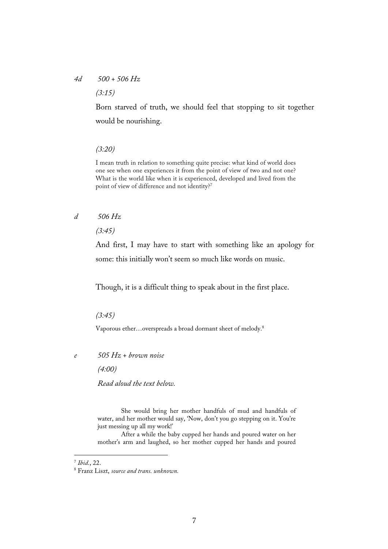# *4d 500 + 506 Hz*

*(3:15)*

Born starved of truth, we should feel that stopping to sit together would be nourishing.

#### *(3:20)*

I mean truth in relation to something quite precise: what kind of world does one see when one experiences it from the point of view of two and not one? What is the world like when it is experienced, developed and lived from the point of view of difference and not identity?<sup>7</sup>

### *d 506 Hz*

*(3:45)*

And first, I may have to start with something like an apology for some: this initially won't seem so much like words on music.

Though, it is a difficult thing to speak about in the first place.

*(3:45)*

Vaporous ether…overspreads a broad dormant sheet of melody.8

*e 505 Hz + brown noise*

*(4:00)*

*Read aloud the text below.*

She would bring her mother handfuls of mud and handfuls of water, and her mother would say, 'Now, don't you go stepping on it. You're just messing up all my work!'

After a while the baby cupped her hands and poured water on her mother's arm and laughed, so her mother cupped her hands and poured

 <sup>7</sup> *Ibid.*, 22.

<sup>8</sup> Franz Liszt, *source and trans. unknown.*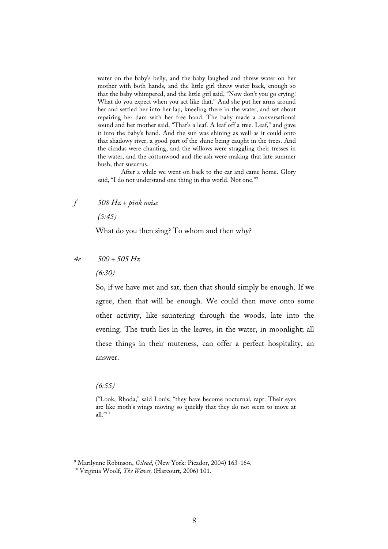water on the baby's belly, and the baby laughed and threw water on her mother with both hands, and the little girl threw water back, enough so that the baby whimpered, and the little girl said, "Now don't you go crying! What do you expect when you act like that." And she put her arms around her and settled her into her lap, kneeling there in the water, and set about repairing her dam with her free hand. The baby made a conversational sound and her mother said, "That's a leaf. A leaf off a tree. Leaf," and gave it into the baby's hand. And the sun was shining as well as it could onto that shadowy river, a good part of the shine being caught in the trees. And the cicadas were chanting, and the willows were straggling their tresses in the water, and the cottonwood and the ash were making that late summer hush, that susurrus.

After a while we went on back to the car and came home. Glory said, "I do not understand one thing in this world. Not one." 9

*f 508 Hz + pink noise*

*(5:45)*

What do you then sing? To whom and then why?

- *4e 500 + 505 Hz*
	- *(6:30)*

So, if we have met and sat, then that should simply be enough. If we agree, then that will be enough. We could then move onto some other activity, like sauntering through the woods, late into the evening. The truth lies in the leaves, in the water, in moonlight; all these things in their muteness, can offer a perfect hospitality, an answer.

*(6:55)*

<sup>(&</sup>quot;Look, Rhoda," said Louis, "they have become nocturnal, rapt. Their eyes are like moth's wings moving so quickly that they do not seem to move at all."10

 <sup>9</sup> Marilynne Robinson, *Gilead*, (New York: Picador, 2004) 163-164.

<sup>10</sup> Virginia Woolf, *The Waves,* (Harcourt, 2006) 101.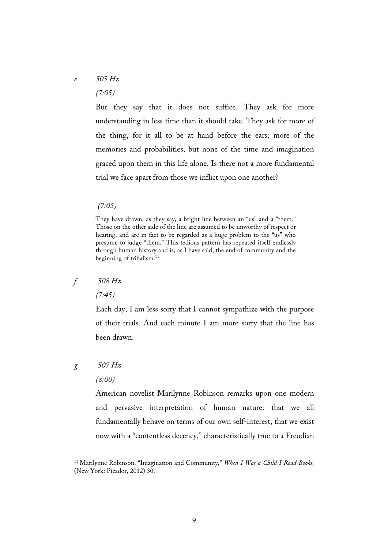# *e 505 Hz (7:05)*

But they say that it does not suffice. They ask for more understanding in less time than it should take. They ask for more of the thing, for it all to be at hand before the ears; more of the memories and probabilities, but none of the time and imagination graced upon them in this life alone. Is there not a more fundamental trial we face apart from those we inflict upon one another?

## *(7:05)*

# *f 508 Hz*

*(7:45)*

Each day, I am less sorry that I cannot sympathize with the purpose of their trials. And each minute I am more sorry that the line has been drawn.

# *g 507 Hz*

### *(8:00)*

American novelist Marilynne Robinson remarks upon one modern and pervasive interpretation of human nature: that we all fundamentally behave on terms of our own self-interest, that we exist now with a "contentless decency," characteristically true to a Freudian

They have drawn, as they say, a bright line between an "us" and a "them." Those on the other side of the line are assumed to be unworthy of respect or hearing, and are in fact to be regarded as a huge problem to the "us" who presume to judge "them." This tedious pattern has repeated itself endlessly through human history and is, as I have said, the end of community and the beginning of tribalism.11

 <sup>11</sup> Marilynne Robinson, "Imagination and Community," *When I Was a Child I Read Books,* (New York: Picador, 2012) 30.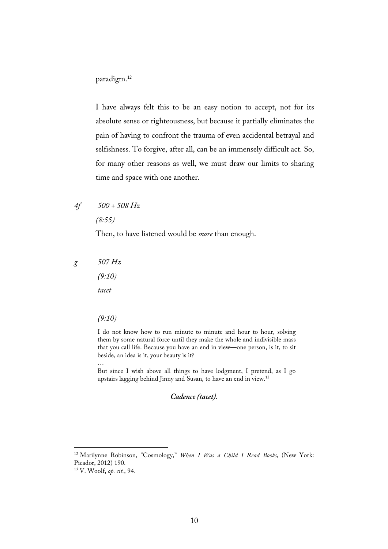## paradigm. 12

I have always felt this to be an easy notion to accept, not for its absolute sense or righteousness, but because it partially eliminates the pain of having to confront the trauma of even accidental betrayal and selfishness. To forgive, after all, can be an immensely difficult act. So, for many other reasons as well, we must draw our limits to sharing time and space with one another.

# *4f 500 + 508 Hz*

*(8:55)*

Then, to have listened would be *more* than enough.

*g 507 Hz*

*(9:10)*

*tacet*

*(9:10)*

…

I do not know how to run minute to minute and hour to hour, solving them by some natural force until they make the whole and indivisible mass that you call life. Because you have an end in view—one person, is it, to sit beside, an idea is it, your beauty is it?

But since I wish above all things to have lodgment, I pretend, as I go upstairs lagging behind Jinny and Susan, to have an end in view.13

*Cadence (tacet).*

 <sup>12</sup> Marilynne Robinson, "Cosmology," *When I Was a Child I Read Books,* (New York: Picador, 2012) 190.

<sup>13</sup> V. Woolf, *op. cit.*, 94.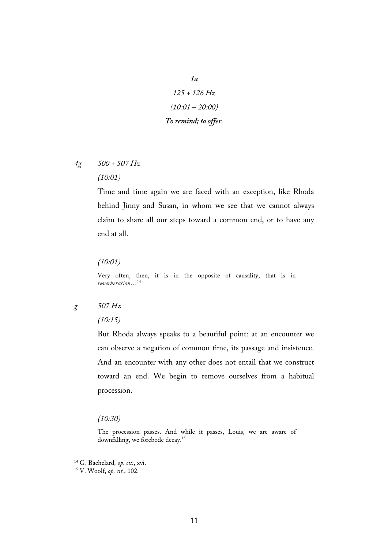- *1a 125 + 126 Hz (10:01 – 20:00) To remind; to offer.*
- *4g 500 + 507 Hz (10:01)*

Time and time again we are faced with an exception, like Rhoda behind Jinny and Susan, in whom we see that we cannot always claim to share all our steps toward a common end, or to have any end at all.

### *(10:01)*

Very often, then, it is in the opposite of causality, that is in *reverberation*…14

*g 507 Hz*

*(10:15)*

But Rhoda always speaks to a beautiful point: at an encounter we can observe a negation of common time, its passage and insistence. And an encounter with any other does not entail that we construct toward an end. We begin to remove ourselves from a habitual procession.

*(10:30)*

The procession passes. And while it passes, Louis, we are aware of downfalling, we forebode decay.15

 <sup>14</sup> G. Bachelard*, op. cit.*, xvi.

<sup>15</sup> V. Woolf, *op. cit.*, 102.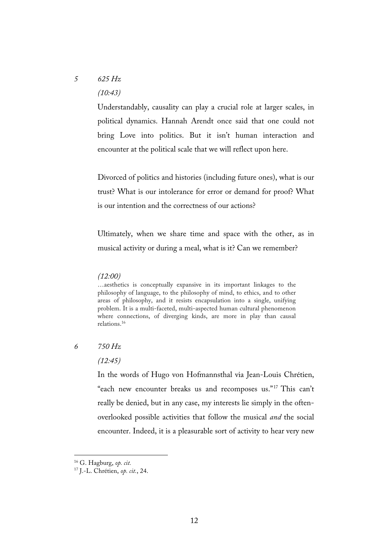# *5 625 Hz (10:43)*

Understandably, causality can play a crucial role at larger scales, in political dynamics. Hannah Arendt once said that one could not bring Love into politics. But it isn't human interaction and encounter at the political scale that we will reflect upon here.

Divorced of politics and histories (including future ones), what is our trust? What is our intolerance for error or demand for proof? What is our intention and the correctness of our actions?

Ultimately, when we share time and space with the other, as in musical activity or during a meal, what is it? Can we remember?

### *(12:00)*

…aesthetics is conceptually expansive in its important linkages to the philosophy of language, to the philosophy of mind, to ethics, and to other areas of philosophy, and it resists encapsulation into a single, unifying problem. It is a multi-faceted, multi-aspected human cultural phenomenon where connections, of diverging kinds, are more in play than causal relations.16

## *6 750 Hz*

### *(12:45)*

In the words of Hugo von Hofmannsthal via Jean-Louis Chrétien, "each new encounter breaks us and recomposes us."17 This can't really be denied, but in any case, my interests lie simply in the oftenoverlooked possible activities that follow the musical *and* the social encounter. Indeed, it is a pleasurable sort of activity to hear very new

12

 <sup>16</sup> G. Hagburg, *op. cit.*

<sup>17</sup> J.-L. Chrétien, *op. cit.*, 24.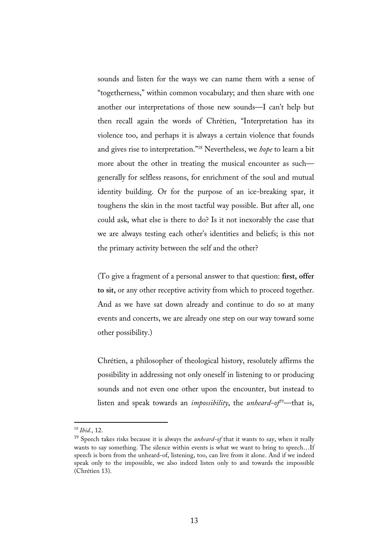sounds and listen for the ways we can name them with a sense of "togetherness," within common vocabulary; and then share with one another our interpretations of those new sounds—I can't help but then recall again the words of Chrétien, "Interpretation has its violence too, and perhaps it is always a certain violence that founds and gives rise to interpretation."18 Nevertheless, we *hope* to learn a bit more about the other in treating the musical encounter as such generally for selfless reasons, for enrichment of the soul and mutual identity building. Or for the purpose of an ice-breaking spar, it toughens the skin in the most tactful way possible. But after all, one could ask, what else is there to do? Is it not inexorably the case that we are always testing each other's identities and beliefs; is this not the primary activity between the self and the other?

(To give a fragment of a personal answer to that question: **first, offer to sit,** or any other receptive activity from which to proceed together. And as we have sat down already and continue to do so at many events and concerts, we are already one step on our way toward some other possibility.)

Chrétien, a philosopher of theological history, resolutely affirms the possibility in addressing not only oneself in listening to or producing sounds and not even one other upon the encounter, but instead to listen and speak towards an *impossibility*, the *unheard-of*<sup>9</sup>—that is,

 <sup>18</sup> *Ibid.*, 12.

<sup>19</sup> Speech takes risks because it is always the *unheard-of* that it wants to say, when it really wants to say something. The silence within events is what we want to bring to speech…If speech is born from the unheard-of, listening, too, can live from it alone. And if we indeed speak only to the impossible, we also indeed listen only to and towards the impossible (Chrétien 13).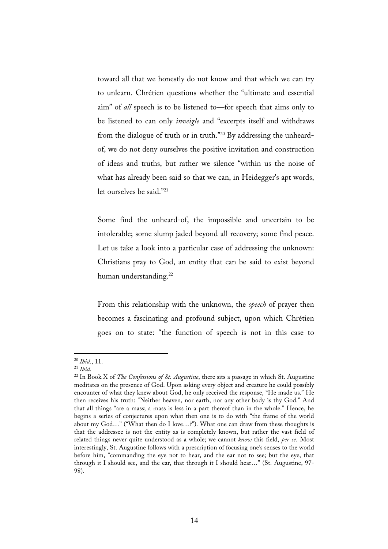toward all that we honestly do not know and that which we can try to unlearn. Chrétien questions whether the "ultimate and essential aim" of *all* speech is to be listened to—for speech that aims only to be listened to can only *inveigle* and "excerpts itself and withdraws from the dialogue of truth or in truth."20 By addressing the unheardof, we do not deny ourselves the positive invitation and construction of ideas and truths, but rather we silence "within us the noise of what has already been said so that we can, in Heidegger's apt words, let ourselves be said."21

Some find the unheard-of, the impossible and uncertain to be intolerable; some slump jaded beyond all recovery; some find peace. Let us take a look into a particular case of addressing the unknown: Christians pray to God, an entity that can be said to exist beyond human understanding.<sup>22</sup>

From this relationship with the unknown, the *speech* of prayer then becomes a fascinating and profound subject, upon which Chrétien goes on to state: "the function of speech is not in this case to

 <sup>20</sup> *Ibid.*, 11.

<sup>21</sup> *Ibid.*

<sup>22</sup> In Book X of *The Confessions of St. Augustine*, there sits a passage in which St. Augustine meditates on the presence of God. Upon asking every object and creature he could possibly encounter of what they knew about God, he only received the response, "He made us." He then receives his truth: "Neither heaven, nor earth, nor any other body is thy God." And that all things "are a mass; a mass is less in a part thereof than in the whole." Hence, he begins a series of conjectures upon what then one is to do with "the frame of the world about my God…" ("What then do I love…?"). What one can draw from these thoughts is that the addressee is not the entity as is completely known, but rather the vast field of related things never quite understood as a whole; we cannot *know* this field, *per se.* Most interestingly, St. Augustine follows with a prescription of focusing one's senses to the world before him, "commanding the eye not to hear, and the ear not to see; but the eye, that through it I should see, and the ear, that through it I should hear…" (St. Augustine, 97- 98).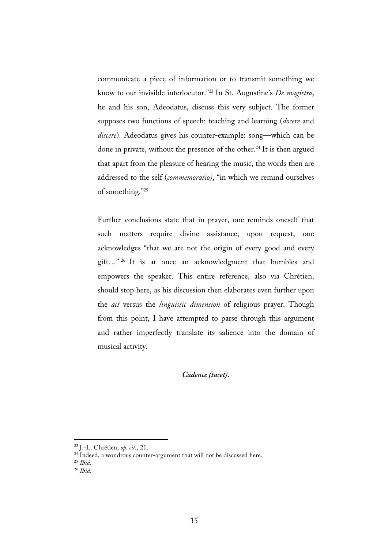communicate a piece of information or to transmit something we know to our invisible interlocutor."23 In St. Augustine's *De magistro*, he and his son, Adeodatus, discuss this very subject. The former supposes two functions of speech: teaching and learning (*docere* and *discere*). Adeodatus gives his counter-example: song—which can be done in private, without the presence of the other. <sup>24</sup> It is then argued that apart from the pleasure of hearing the music, the words then are addressed to the self (*commemoratio)*, "in which we remind ourselves of something."25

Further conclusions state that in prayer, one reminds oneself that such matters require divine assistance; upon request, one acknowledges "that we are not the origin of every good and every gift…" <sup>26</sup> It is at once an acknowledgment that humbles and empowers the speaker. This entire reference, also via Chrétien, should stop here, as his discussion then elaborates even further upon the *act* versus the *linguistic dimension* of religious prayer. Though from this point, I have attempted to parse through this argument and rather imperfectly translate its salience into the domain of musical activity.

## *Cadence (tacet).*

 <sup>23</sup> J.-L. Chrétien, *op. cit.*, 21.

<sup>&</sup>lt;sup>24</sup> Indeed, a wondrous counter-argument that will not be discussed here.

<sup>25</sup> *Ibid*.

<sup>26</sup> *Ibid.*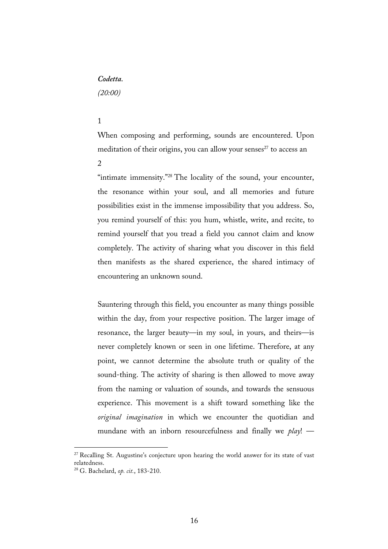## *Codetta.*

*(20:00)*

### 1

When composing and performing, sounds are encountered. Upon meditation of their origins, you can allow your senses<sup>27</sup> to access an

 $\mathcal{L}$ 

"intimate immensity."<sup>28</sup> The locality of the sound, your encounter, the resonance within your soul, and all memories and future possibilities exist in the immense impossibility that you address. So, you remind yourself of this: you hum, whistle, write, and recite, to remind yourself that you tread a field you cannot claim and know completely. The activity of sharing what you discover in this field then manifests as the shared experience, the shared intimacy of encountering an unknown sound.

Sauntering through this field, you encounter as many things possible within the day, from your respective position. The larger image of resonance, the larger beauty—in my soul, in yours, and theirs—is never completely known or seen in one lifetime. Therefore, at any point, we cannot determine the absolute truth or quality of the sound-thing. The activity of sharing is then allowed to move away from the naming or valuation of sounds, and towards the sensuous experience. This movement is a shift toward something like the *original imagination* in which we encounter the quotidian and mundane with an inborn resourcefulness and finally we *play*! —

<sup>&</sup>lt;sup>27</sup> Recalling St. Augustine's conjecture upon hearing the world answer for its state of vast relatedness.

<sup>28</sup> G. Bachelard, *op. cit.*, 183-210.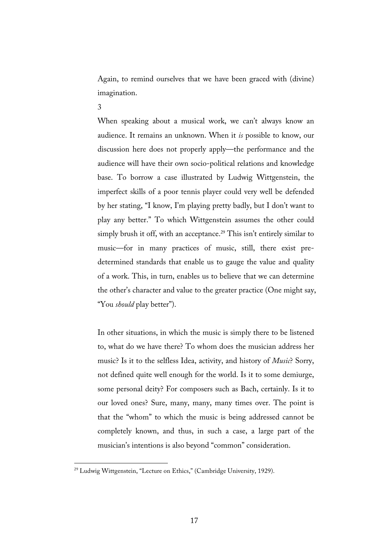Again, to remind ourselves that we have been graced with (divine) imagination.

3

When speaking about a musical work, we can't always know an audience. It remains an unknown. When it *is* possible to know, our discussion here does not properly apply—the performance and the audience will have their own socio-political relations and knowledge base. To borrow a case illustrated by Ludwig Wittgenstein, the imperfect skills of a poor tennis player could very well be defended by her stating, "I know, I'm playing pretty badly, but I don't want to play any better." To which Wittgenstein assumes the other could simply brush it off, with an acceptance.<sup>29</sup> This isn't entirely similar to music—for in many practices of music, still, there exist predetermined standards that enable us to gauge the value and quality of a work. This, in turn, enables us to believe that we can determine the other's character and value to the greater practice (One might say, "You *should* play better").

In other situations, in which the music is simply there to be listened to, what do we have there? To whom does the musician address her music? Is it to the selfless Idea, activity, and history of *Music*? Sorry, not defined quite well enough for the world. Is it to some demiurge, some personal deity? For composers such as Bach, certainly. Is it to our loved ones? Sure, many, many, many times over. The point is that the "whom" to which the music is being addressed cannot be completely known, and thus, in such a case, a large part of the musician's intentions is also beyond "common" consideration.

<sup>&</sup>lt;sup>29</sup> Ludwig Wittgenstein, "Lecture on Ethics," (Cambridge University, 1929).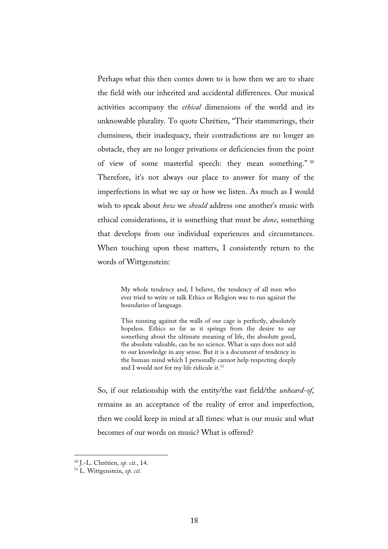Perhaps what this then comes down to is how then we are to share the field with our inherited and accidental differences. Our musical activities accompany the *ethical* dimensions of the world and its unknowable plurality. To quote Chrétien, "Their stammerings, their clumsiness, their inadequacy, their contradictions are no longer an obstacle, they are no longer privations or deficiencies from the point of view of some masterful speech: they mean something." <sup>30</sup> Therefore, it's not always our place to answer for many of the imperfections in what we say or how we listen. As much as I would wish to speak about *how* we *should* address one another's music with ethical considerations, it is something that must be *done*, something that develops from our individual experiences and circumstances. When touching upon these matters, I consistently return to the words of Wittgenstein:

> My whole tendency and, I believe, the tendency of all men who ever tried to write or talk Ethics or Religion was to run against the boundaries of language.

> This running against the walls of our cage is perfectly, absolutely hopeless. Ethics so far as it springs from the desire to say something about the ultimate meaning of life, the absolute good, the absolute valuable, can be no science. What is says does not add to our knowledge in any sense. But it is a document of tendency in the human mind which I personally cannot help respecting deeply and I would not for my life ridicule it.<sup>31</sup>

So, if our relationship with the entity/the vast field/the *unheard-of*, remains as an acceptance of the reality of error and imperfection, then we could keep in mind at all times: what is our music and what becomes of our words on music? What is offered?

 <sup>30</sup> J.-L. Chrétien, *op. cit.*, 14.

<sup>31</sup> L. Wittgenstein, *op. cit.*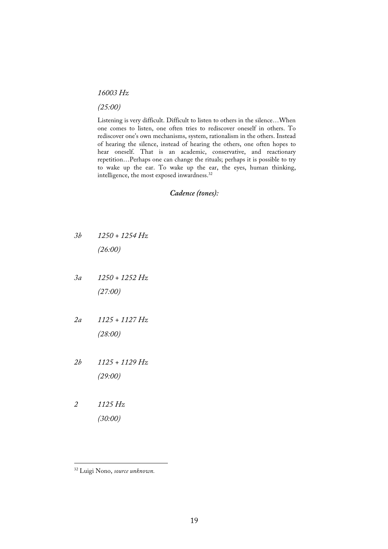## *16003 Hz*

### *(25:00)*

Listening is very difficult. Difficult to listen to others in the silence…When one comes to listen, one often tries to rediscover oneself in others. To rediscover one's own mechanisms, system, rationalism in the others. Instead of hearing the silence, instead of hearing the others, one often hopes to hear oneself. That is an academic, conservative, and reactionary repetition…Perhaps one can change the rituals; perhaps it is possible to try to wake up the ear. To wake up the ear, the eyes, human thinking, intelligence, the most exposed inwardness.<sup>32</sup>

## *Cadence (tones):*

- *3b 1250 + 1254 Hz (26:00)*
- *3a 1250 + 1252 Hz (27:00)*
- *2a 1125 + 1127 Hz (28:00)*
- *2b 1125 + 1129 Hz (29:00)*
- *2 1125 Hz (30:00)*

 <sup>32</sup> Luigi Nono, *source unknown.*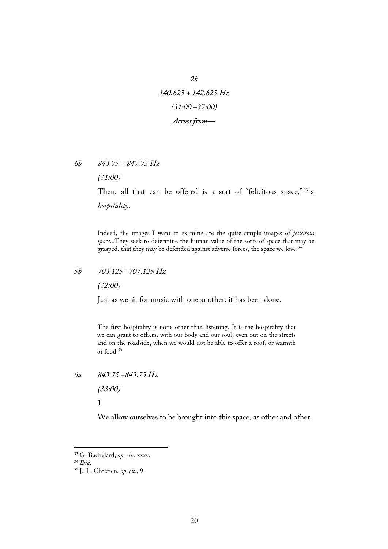*140.625 + 142.625 Hz (31:00 –37:00) Across from—*

*2b*

*6b 843.75 + 847.75 Hz*

*(31:00)*

Then, all that can be offered is a sort of "felicitous space,"<sup>33</sup> a *hospitality*.

Indeed, the images I want to examine are the quite simple images of *felicitous space*...They seek to determine the human value of the sorts of space that may be grasped, that they may be defended against adverse forces, the space we love.<sup>34</sup>

## *5b 703.125 +707.125 Hz*

*(32:00)*

Just as we sit for music with one another: it has been done.

The first hospitality is none other than listening. It is the hospitality that we can grant to others, with our body and our soul, even out on the streets and on the roadside, when we would not be able to offer a roof, or warmth or food. 35

*6a 843.75 +845.75 Hz*

*(33:00)*

1

We allow ourselves to be brought into this space, as other and other.

 <sup>33</sup> G. Bachelard, *op. cit.*, xxxv.

<sup>34</sup> *Ibid.*

<sup>35</sup> J.-L. Chrétien, *op. cit.*, 9.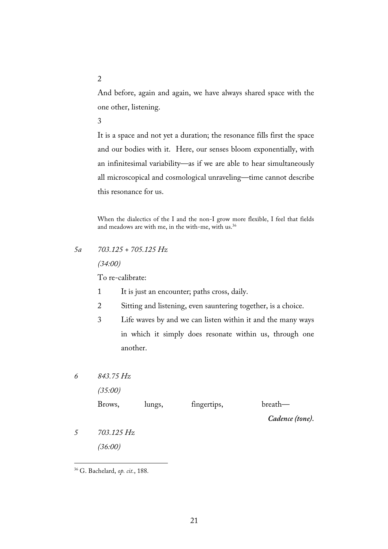And before, again and again, we have always shared space with the one other, listening.

3

It is a space and not yet a duration; the resonance fills first the space and our bodies with it. Here, our senses bloom exponentially, with an infinitesimal variability—as if we are able to hear simultaneously all microscopical and cosmological unraveling—time cannot describe this resonance for us.

When the dialectics of the I and the non-I grow more flexible, I feel that fields and meadows are with me, in the with-me, with us.<sup>36</sup>

# *5a 703.125 + 705.125 Hz*

*(34:00)*

To re-calibrate:

- 1 It is just an encounter; paths cross, daily.
- 2 Sitting and listening, even sauntering together, is a choice.
- 3 Life waves by and we can listen within it and the many ways in which it simply does resonate within us, through one another.
- *6 843.75 Hz*

*(35:00)*

Brows, lungs, fingertips, breath—

*Cadence (tone).*

*5 703.125 Hz (36:00)*

2

 <sup>36</sup> G. Bachelard, *op. cit.*, 188.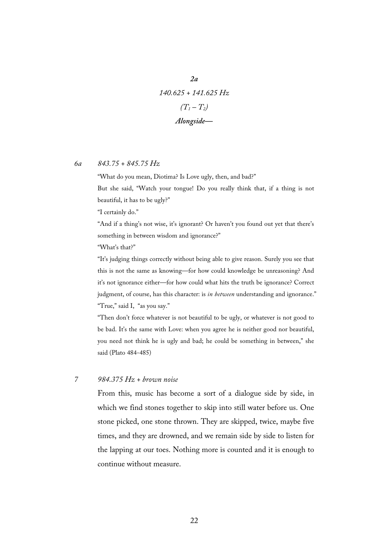*140.625 + 141.625 Hz*  $(T_1 - T_2)$ *Alongside—*

*2a*

#### *6a 843.75 + 845.75 Hz*

"What do you mean, Diotima? Is Love ugly, then, and bad?"

But she said, "Watch your tongue! Do you really think that, if a thing is not beautiful, it has to be ugly?"

"I certainly do."

"And if a thing's not wise, it's ignorant? Or haven't you found out yet that there's something in between wisdom and ignorance?"

"What's that?"

"It's judging things correctly without being able to give reason. Surely you see that this is not the same as knowing—for how could knowledge be unreasoning? And it's not ignorance either—for how could what hits the truth be ignorance? Correct judgment, of course, has this character: is *in between* understanding and ignorance." "True," said I, "as you say."

"Then don't force whatever is not beautiful to be ugly, or whatever is not good to be bad. It's the same with Love: when you agree he is neither good nor beautiful, you need not think he is ugly and bad; he could be something in between," she said (Plato 484-485)

### *7 984.375 Hz + brown noise*

From this, music has become a sort of a dialogue side by side, in which we find stones together to skip into still water before us. One stone picked, one stone thrown. They are skipped, twice, maybe five times, and they are drowned, and we remain side by side to listen for the lapping at our toes. Nothing more is counted and it is enough to continue without measure.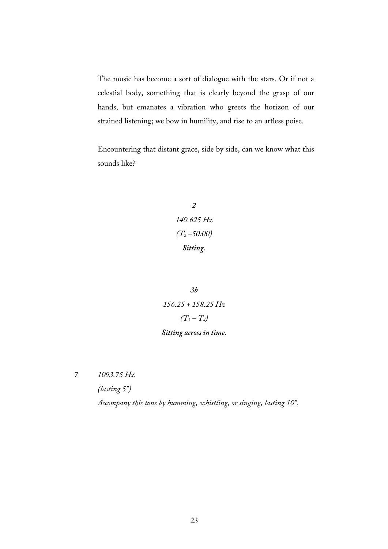The music has become a sort of dialogue with the stars. Or if not a celestial body, something that is clearly beyond the grasp of our hands, but emanates a vibration who greets the horizon of our strained listening; we bow in humility, and rise to an artless poise.

Encountering that distant grace, side by side, can we know what this sounds like?

> *2 140.625 Hz (T2 –50:00) Sitting.*

*3b 156.25 + 158.25 Hz*  $(T_3 - T_4)$ 

# *Sitting across in time.*

*7 1093.75 Hz*

*(lasting 5")*

*Accompany this tone by humming, whistling, or singing, lasting 10".*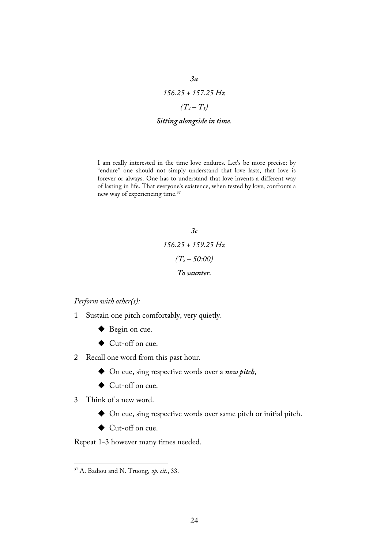*156.25 + 157.25 Hz*  $(T_4 - T_5)$ 

*3a*

### *Sitting alongside in time.*

I am really interested in the time love endures. Let's be more precise: by "endure" one should not simply understand that love lasts, that love is forever or always. One has to understand that love invents a different way of lasting in life. That everyone's existence, when tested by love, confronts a new way of experiencing time.37

> *3c 156.25 + 159.25 Hz (T5 – 50:00) To saunter.*

*Perform with other(s):*

- 1 Sustain one pitch comfortably, very quietly.
	- ◆ Begin on cue.
	- ◆ Cut-off on cue.
- 2 Recall one word from this past hour.
	- ! On cue, sing respective words over a *new pitch,*
	- ◆ Cut-off on cue.
- 3 Think of a new word.
	- ! On cue, sing respective words over same pitch or initial pitch.
	- ◆ Cut-off on cue.

Repeat 1-3 however many times needed.

24

 <sup>37</sup> A. Badiou and N. Truong, *op. cit.*, 33.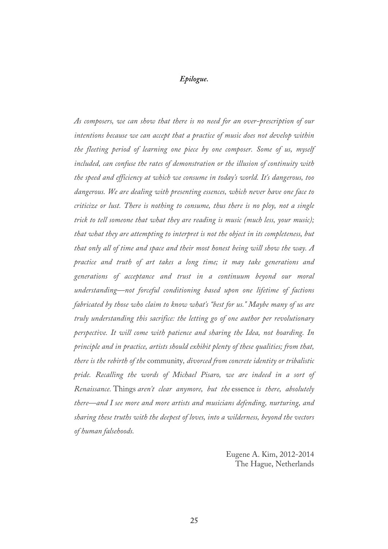# *Epilogue.*

*As composers, we can show that there is no need for an over-prescription of our intentions because we can accept that a practice of music does not develop within the fleeting period of learning one piece by one composer. Some of us, myself included, can confuse the rates of demonstration or the illusion of continuity with the speed and efficiency at which we consume in today's world. It's dangerous, too dangerous. We are dealing with presenting essences, which never have one face to criticize or lust. There is nothing to consume, thus there is no ploy, not a single trick to tell someone that what they are reading is music (much less, your music); that what they are attempting to interpret is not the object in its completeness, but that only all of time and space and their most honest being will show the way. A practice and truth of art takes a long time; it may take generations and generations of acceptance and trust in a continuum beyond our moral understanding—not forceful conditioning based upon one lifetime of factions fabricated by those who claim to know what's "best for us." Maybe many of us are truly understanding this sacrifice: the letting go of one author per revolutionary perspective. It will come with patience and sharing the Idea, not hoarding. In principle and in practice, artists should exhibit plenty of these qualities; from that, there is the rebirth of the* community*, divorced from concrete identity or tribalistic pride. Recalling the words of Michael Pisaro, we are indeed in a sort of Renaissance.* Things *aren't clear anymore, but the* essence *is there, absolutely there—and I see more and more artists and musicians defending, nurturing, and sharing these truths with the deepest of loves, into a wilderness, beyond the vectors of human falsehoods.*

> Eugene A. Kim, 2012-2014 The Hague, Netherlands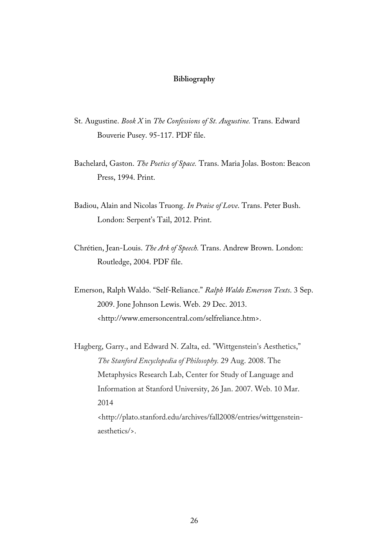## **Bibliography**

- St. Augustine. *Book X* in *The Confessions of St. Augustine.* Trans. Edward Bouverie Pusey. 95-117. PDF file.
- Bachelard, Gaston. *The Poetics of Space.* Trans. Maria Jolas. Boston: Beacon Press, 1994. Print.
- Badiou, Alain and Nicolas Truong. *In Praise of Love*. Trans. Peter Bush. London: Serpent's Tail, 2012. Print.
- Chrétien, Jean-Louis. *The Ark of Speech.* Trans. Andrew Brown. London: Routledge, 2004. PDF file.
- Emerson, Ralph Waldo. "Self-Reliance." *Ralph Waldo Emerson Texts*. 3 Sep. 2009. Jone Johnson Lewis. Web. 29 Dec. 2013. <http://www.emersoncentral.com/selfreliance.htm>.
- Hagberg, Garry., and Edward N. Zalta, ed. "Wittgenstein's Aesthetics," *The Stanford Encyclopedia of Philosophy.* 29 Aug. 2008. The Metaphysics Research Lab, Center for Study of Language and Information at Stanford University, 26 Jan. 2007. Web. 10 Mar. 2014 <http://plato.stanford.edu/archives/fall2008/entries/wittgensteinaesthetics/>.